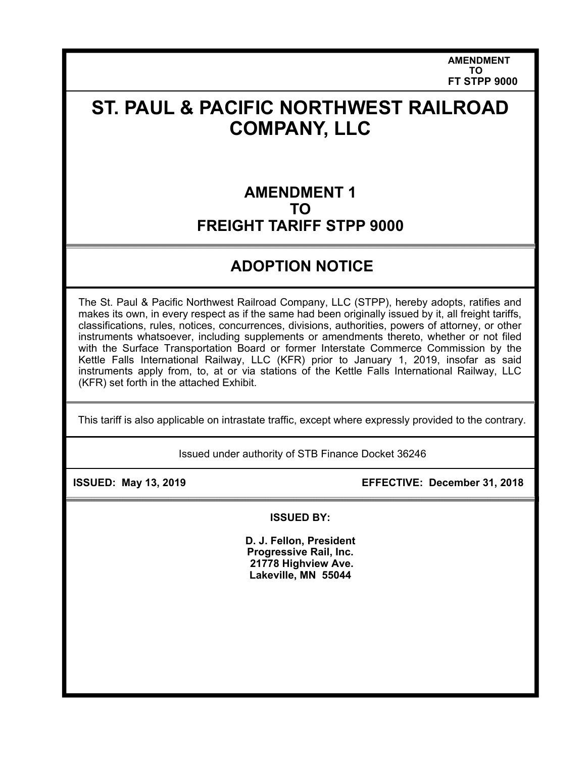**AMENDMENT TO FT STPP 9000** 

# **ST. PAUL & PACIFIC NORTHWEST RAILROAD COMPANY, LLC**

### **AMENDMENT 1 TO FREIGHT TARIFF STPP 9000**

## **ADOPTION NOTICE**

The St. Paul & Pacific Northwest Railroad Company, LLC (STPP), hereby adopts, ratifies and makes its own, in every respect as if the same had been originally issued by it, all freight tariffs, classifications, rules, notices, concurrences, divisions, authorities, powers of attorney, or other instruments whatsoever, including supplements or amendments thereto, whether or not filed with the Surface Transportation Board or former Interstate Commerce Commission by the Kettle Falls International Railway, LLC (KFR) prior to January 1, 2019, insofar as said instruments apply from, to, at or via stations of the Kettle Falls International Railway, LLC (KFR) set forth in the attached Exhibit.

This tariff is also applicable on intrastate traffic, except where expressly provided to the contrary.

Issued under authority of STB Finance Docket 36246

 **ISSUED: May 13, 2019 EFFECTIVE: December 31, 2018** 

**ISSUED BY:** 

**D. J. Fellon, President Progressive Rail, Inc. 21778 Highview Ave. Lakeville, MN 55044**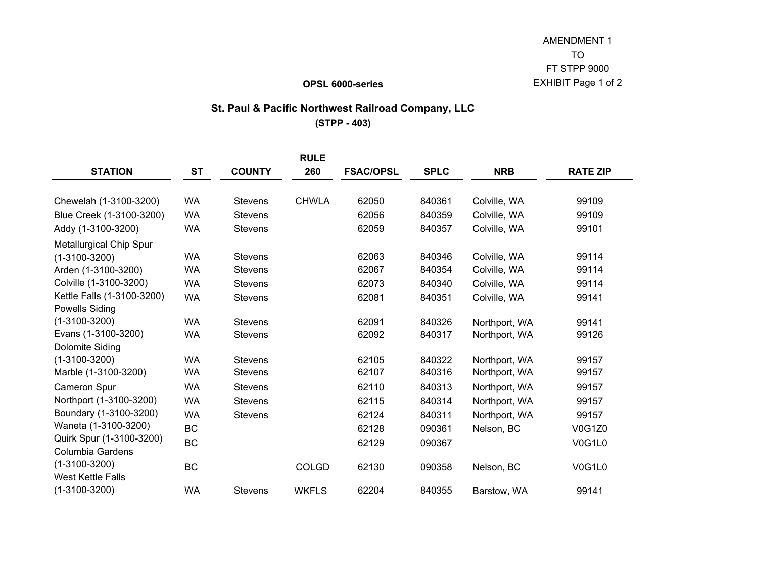#### **OPSL 6000-series**

### **St. Paul & Pacific Northwest Railroad Company, LLC**

**(STPP - 403)**

|                                                     |           |                | <b>RULE</b>  |                  |             |               |                 |
|-----------------------------------------------------|-----------|----------------|--------------|------------------|-------------|---------------|-----------------|
| <b>STATION</b>                                      | <b>ST</b> | <b>COUNTY</b>  | 260          | <b>FSAC/OPSL</b> | <b>SPLC</b> | <b>NRB</b>    | <b>RATE ZIP</b> |
| Chewelah (1-3100-3200)                              | <b>WA</b> | <b>Stevens</b> | <b>CHWLA</b> | 62050            | 840361      | Colville, WA  | 99109           |
| Blue Creek (1-3100-3200)                            | <b>WA</b> | <b>Stevens</b> |              | 62056            | 840359      | Colville, WA  | 99109           |
| Addy (1-3100-3200)                                  | <b>WA</b> | <b>Stevens</b> |              | 62059            | 840357      | Colville, WA  | 99101           |
| <b>Metallurgical Chip Spur</b>                      |           |                |              |                  |             |               |                 |
| $(1-3100-3200)$                                     | <b>WA</b> | <b>Stevens</b> |              | 62063            | 840346      | Colville, WA  | 99114           |
| Arden (1-3100-3200)                                 | <b>WA</b> | <b>Stevens</b> |              | 62067            | 840354      | Colville, WA  | 99114           |
| Colville (1-3100-3200)                              | <b>WA</b> | <b>Stevens</b> |              | 62073            | 840340      | Colville, WA  | 99114           |
| Kettle Falls (1-3100-3200)<br><b>Powells Siding</b> | <b>WA</b> | <b>Stevens</b> |              | 62081            | 840351      | Colville, WA  | 99141           |
| $(1-3100-3200)$                                     | <b>WA</b> | <b>Stevens</b> |              | 62091            | 840326      | Northport, WA | 99141           |
| Evans (1-3100-3200)                                 | <b>WA</b> | <b>Stevens</b> |              | 62092            | 840317      | Northport, WA | 99126           |
| Dolomite Siding                                     |           |                |              |                  |             |               |                 |
| $(1-3100-3200)$                                     | <b>WA</b> | <b>Stevens</b> |              | 62105            | 840322      | Northport, WA | 99157           |
| Marble (1-3100-3200)                                | <b>WA</b> | <b>Stevens</b> |              | 62107            | 840316      | Northport, WA | 99157           |
| Cameron Spur                                        | <b>WA</b> | <b>Stevens</b> |              | 62110            | 840313      | Northport, WA | 99157           |
| Northport (1-3100-3200)                             | <b>WA</b> | <b>Stevens</b> |              | 62115            | 840314      | Northport, WA | 99157           |
| Boundary (1-3100-3200)                              | <b>WA</b> | <b>Stevens</b> |              | 62124            | 840311      | Northport, WA | 99157           |
| Waneta (1-3100-3200)                                | <b>BC</b> |                |              | 62128            | 090361      | Nelson, BC    | <b>V0G1Z0</b>   |
| Quirk Spur (1-3100-3200)                            | <b>BC</b> |                |              | 62129            | 090367      |               | <b>V0G1L0</b>   |
| <b>Columbia Gardens</b>                             |           |                |              |                  |             |               |                 |
| $(1-3100-3200)$                                     | <b>BC</b> |                | <b>COLGD</b> | 62130            | 090358      | Nelson, BC    | V0G1L0          |
| <b>West Kettle Falls</b>                            |           |                |              |                  |             |               |                 |
| $(1-3100-3200)$                                     | <b>WA</b> | <b>Stevens</b> | <b>WKFLS</b> | 62204            | 840355      | Barstow, WA   | 99141           |